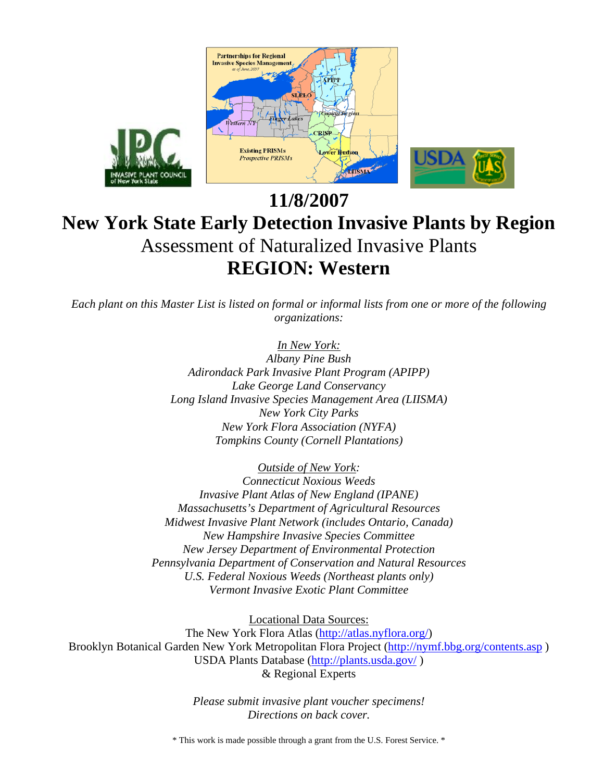

# **11/8/2007 New York State Early Detection Invasive Plants by Region**  Assessment of Naturalized Invasive Plants **REGION: Western**

*Each plant on this Master List is listed on formal or informal lists from one or more of the following organizations:* 

## *In New York:*

*Albany Pine Bush Adirondack Park Invasive Plant Program (APIPP) Lake George Land Conservancy Long Island Invasive Species Management Area (LIISMA) New York City Parks New York Flora Association (NYFA) Tompkins County (Cornell Plantations)* 

*Outside of New York:* 

*Connecticut Noxious Weeds Invasive Plant Atlas of New England (IPANE) Massachusetts's Department of Agricultural Resources Midwest Invasive Plant Network (includes Ontario, Canada) New Hampshire Invasive Species Committee New Jersey Department of Environmental Protection Pennsylvania Department of Conservation and Natural Resources U.S. Federal Noxious Weeds (Northeast plants only) Vermont Invasive Exotic Plant Committee* 

Locational Data Sources:

The New York Flora Atlas (http://atlas.nyflora.org/) Brooklyn Botanical Garden New York Metropolitan Flora Project (http://nymf.bbg.org/contents.asp ) USDA Plants Database (http://plants.usda.gov/ ) & Regional Experts

> *Please submit invasive plant voucher specimens! Directions on back cover.*

\* This work is made possible through a grant from the U.S. Forest Service. \*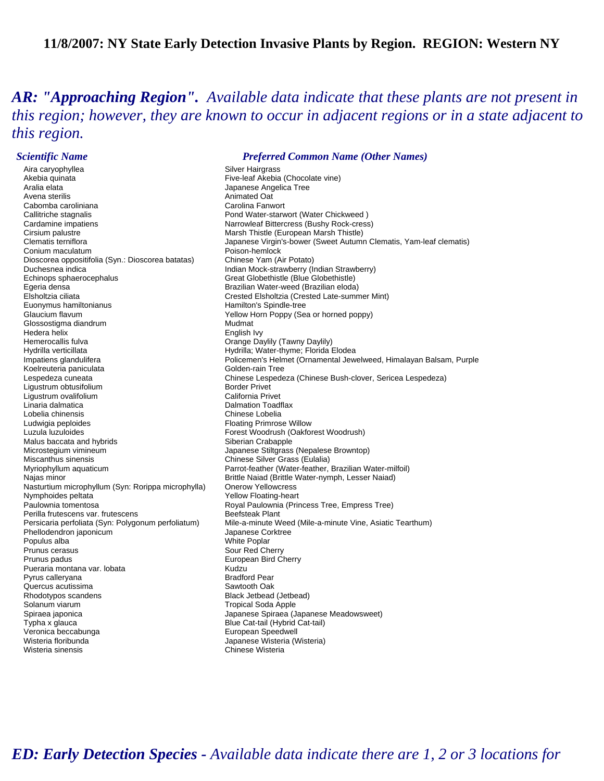### **11/8/2007: NY State Early Detection Invasive Plants by Region. REGION: Western NY**

*AR: "Approaching Region". Available data indicate that these plants are not present in this region; however, they are known to occur in adjacent regions or in a state adjacent to this region.* 

Aira caryophyllea Silver Hairgrass Akebia quinata **Fixe-leaf Akebia (Chocolate vine)** Aralia elata di anno 1920 anno 1920.<br>Animated Oat divena sterilis Cabomba caroliniana Callitriche stagnalis Pond Water-starwort (Water Chickweed ) Cardamine impatiens **Narrowleaf Bittercress (Bushy Rock-cress)**<br>Cirsium palustre **Narrowleaf Bittercress** Marsh Thistle (European Marsh Thistle) Conium maculatum Poison-hemlock Dioscorea oppositifolia (Syn.: Dioscorea batatas) Duchesnea indica **Indian Mock-strawberry (Indian Strawberry**) Echinops sphaerocephalus Great Globethistle (Blue Globethistle) Egeria densa Brazilian Water-weed (Brazilian eloda) Elsholtzia ciliata Crested Elsholtzia (Crested Late-summer Mint) Euonymus hamiltonianus etter etter teen and the Hamilton's Spindle-tree Glaucium flavum **The Contract of Contract Contract Contract Vellow Horn Poppy (Sea or horned poppy)** Glossostigma diandrum metal and the Mudmat Hedera helix and the entity of the Hemerocallis fulval and the entity of the English Ivy<br>Hemerocallis fulval and the entity of the Crange Da Hydrilla verticillata **Hydrilla:** Water-thyme; Florida Elodea Koelreuteria paniculata Golden-rain Tree Ligustrum obtusifolium and a component control border Privet<br>California Privet Ligustrum ovalifolium Linaria dalmatica **Dalmation Toadflax** Lobelia chinensis Chinese Lobelia Ludwigia peploides<br>
Luzula luzuloides<br>
Luzula luzuloides<br>
Forest Woodrush (Oakfor Malus baccata and hybrids Siberian Crabapple Microstegium vimineum Japanese Stiltgrass (Nepalese Browntop) Miscanthus sinensis<br>
Myriophyllum aquaticum<br>
Myriophyllum aquaticum<br>
Chinese Silver Gassetter (Water-feather, Najas minor **Drittle Naiad (Brittle Water-nymph, Lesser Naiad)**<br>Nasturtium microphyllum (Syn: Rorippa microphylla) Onerow Yellowcress Nasturtium microphyllum (Syn: Rorippa microphylla)<br>Nymphoides peltata Nymphoides peltata <br>
Paulownia tomentosa <br>
Paulownia (Principality Royal Paulownia (Principality Royal Paulownia (Principality Royal Paulownia) Perilla frutescens var. frutescens **Beefsteak Plant** Phellodendron japonicum and announce Coreaan and Superintendent Coreaan Japanese Corp.<br>Populus alba Populus alba Prunus cerasus Notation Sour Red Cherry Sour Red Cherry Prunus padus<br>Pueraria montana var Johata **European Bird Cherry (European Bird Cherry** Pueraria montana var. lobata Pyrus calleryana **Bradford Pear** Quercus acutissima Sawtooth Oak Rhodotypos scandens and the state of the Black Jetbead (Jetbead)<br>Solanum viarum and the Solanum of Tropical Soda Apple Spiraea japonica Japanese Spiraea (Japanese Meadowsweet) Typha x glauca **Blue Cat-tail** (Hybrid Cat-tail) Veronica beccabunga European Speedwell Wisteria sinensis **Chinese Wisteria** 

### *Scientific Name Preferred Common Name (Other Names)*

Animated Oat<br>Carolina Fanwort Marsh Thistle (European Marsh Thistle) Clematis terniflora **Japanese Virgin's-bower (Sweet Autumn Clematis**, Yam-leaf clematis)<br>Conium maculatum Conium Poison-hemlock Orange Daylily (Tawny Daylily) Impatiens glandulifera **Policemen's Helmet (Ornamental Jewelweed, Himalayan Balsam**, Purple Lespedeza cuneata Chinese Lespedeza (Chinese Bush-clover, Sericea Lespedeza) Forest Woodrush (Oakforest Woodrush) Parrot-feather (Water-feather, Brazilian Water-milfoil) Royal Paulownia (Princess Tree, Empress Tree) Persicaria perfoliata (Syn: Polygonum perfoliatum) Mile-a-minute Weed (Mile-a-minute Vine, Asiatic Tearthum)<br>Phellodendron japonicum<br> **Tropical Soda Apple** Japanese Wisteria (Wisteria)

# *ED: Early Detection Species - Available data indicate there are 1, 2 or 3 locations for*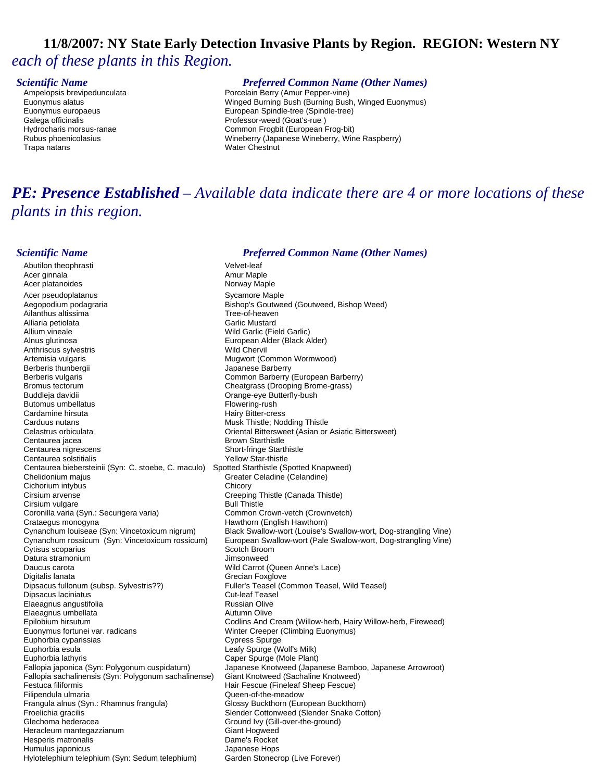# **11/8/2007: NY State Early Detection Invasive Plants by Region. REGION: Western NY**  *each of these plants in this Region.*

Trapa natans Water Chestnut

# **Scientific Name**<br> **Ampelopsis brevipedunculata** *Preferred Common Name (Other Names)*<br> **Porcelain Berry (Amur Pepper-vine)**

Ampelopsis brevipedunculata entity in the Porcelain Berry (Amur Pepper-vine)<br>Porcelain Berry (Amur Pepper-vine) Euconymus alatus Euonymus alatus Winged Burning Bush (Burning Bush, Winged Euonymus) Euonymus europaeus and a community european Spindle-tree (Spindle-tree)<br>European Spindle-tree (Spindle-tree)<br>Professor-weed (Goat's-rue) Professor-weed (Goat's-rue) Hydrocharis morsus-ranae Common Frogbit (European Frog-bit) Rubus phoenicolasius Wineberry (Japanese Wineberry, Wine Raspberry)

# *PE: Presence Established – Available data indicate there are 4 or more locations of these plants in this region.*

### *Scientific Name Preferred Common Name (Other Names)*

Abutilon theophrasti **Velvet-leaf** Acer ginnala **Amur Maple** Acer platanoides Norway Maple Acer pseudoplatanus<br>
Aegopodium podagraria<br>
Aegopodium podagraria Bishop's Goutweed (Goutweed, Bishop Weed)<br>Tree-of-heaven Ailanthus altissima Alliaria petiolata **Garlic Mustard Carlic Mustard**<br>Allium vineale **Garlic Mustard Carlic Mustard Carlic (Fie** Allium vineale **Allium vineale (Field Garlic (Field Garlic (Field Garlic (Field Garlic (Field Garlic )**<br>Alnus glutinosa **March 2006 (Field Garlic ) (Field Garlic )** European Alder (Black Alder) Anthriscus sylvestris **Anthriscus** sylvestris Anthriscus sylvestris Wild Chervil Artemisia vulgaris **Mugwort (Common Wormwood)**<br>
Berberis thunbergii **Mugwort (Common Wormwood)**<br>

Appanese Barberry Japanese Barberry Berberis vulgaris Common Barberry (European Barberry) Bromus tectorum **Cheatgrass (Drooping Brome-grass)** Buddleja davidii **Christianus** Crange-eye Butterfly-bush<br>
Butomus umbellatus Christianus Christianus Christianus Christianus Christianus Christianus Christianus Christ Butomus umbellatus Cardamine hirsuta and the state of the Hairy Bitter-cress (School and The Hairy Bitter-cress of the Music Theorem<br>Carduus nutans and the Cardian Communisties (School and Music The Music The Music The Music The Music The Mu Musk Thistle; Nodding Thistle Celastrus orbiculata (Celastrus orbiculata control or Asiatic Bittersweet (Asian or Asiatic Bittersweet)<br>Centaurea iacea Brown Starthistle Centaurea nigrescens Short-fringe Starthistle Centaurea solstitialis Yellow Star-thistle Centaurea biebersteinii (Syn: C. stoebe, C. maculo) Spotted Starthistle (Spotted Knapweed)<br>Chelidonium majus Charl Geneter Celadine (Celandine) Greater Celadine (Celandine) Cichorium intybus Chicory Cirsium arvense **Creeping Thistle (Canada Thistle)**<br>Cirsium vulgare Cirsium Cirsium Cirsium Cirsium Cirsium Cirsium Cirsium Cirsium Cirsium Cirsium Cirsium Circi<br>
Bull Thistle Cirsium vulgare<br>
Coronilla varia (Syn.: Securigera varia) Common Crown-vetch (Crownvetch) Coronilla varia (Syn.: Securigera varia) Crataegus monogyna<br>Cynanchum Iouiseae (Syn: Vincetoxicum nigrum) Black Swallow-wort (Louise's Cynanchum louiseae (Syn: Vincetoxicum nigrum) Black Swallow-wort (Louise's Swallow-wort, Dog-strangling Vine) European Swallow-wort (Pale Swalow-wort, Dog-strangling Vine) Cytisus scoparius **Scotch Broom** Datura stramonium and a stramonium of the strain of the strain of the strain of the strain of the strain of the Daucus carota Wild Carrot (Queen Anne's Lace) Digitalis lanata Grecian Foxglove Fuller's Teasel (Common Teasel, Wild Teasel) Dipsacus laciniatus Cut-leaf Teasel Elaeagnus angustifolia anno 2008.<br>Elaeagnus umbellata anno 2008 ann an Coiveagair an Autumn Olive Elaeagnus umbellata Epilobium hirsutum Codlins And Cream (Willow-herb, Hairy Willow-herb, Fireweed) Euonymus fortunei var. radicans and an Europe Winter Creeper (Climbing Euonymus)<br>
Euphorbia cyparissias and Euphorbia cypress Spurge Euphorbia cyparissias Euphorbia esula **Leafy Spurge (Wolf's Milk)** Euphorbia lathyris<br>Fallopia japonica (Syn: Polygonum cuspidatum) Sapanese Knotweed (Japar Japanese Knotweed (Japanese Bamboo, Japanese Arrowroot)<br>Giant Knotweed (Sachaline Knotweed) Fallopia sachalinensis (Syn: Polygonum sachalinense) Festuca filiformis **Festuca filiformis** Festuca Filiformis **Hair Fescue** (Fineleaf Sheep Fescue) Filipendula ulmaria **Access 1986** Cueen-of-the-meadow Frangula alnus (Syn.: Rhamnus frangula) Glossy Buckthorn (European Buckthorn) Froelichia gracilis Controllection Slender Cottonweed (Slender Snake Cotton)<br>Slechoma hederacea Solid School School (Sull-over-the-ground) Ground Ivy (Gill-over-the-ground) Heracleum mantegazzianum Giant Hogweed Hesperis matronalis Dame's Rocket Humulus japonicus<br>
Hylotelephium telephium (Syn: Sedum telephium) Garden Stonecrop (Live Forever) Hylotelephium telephium (Syn: Sedum telephium)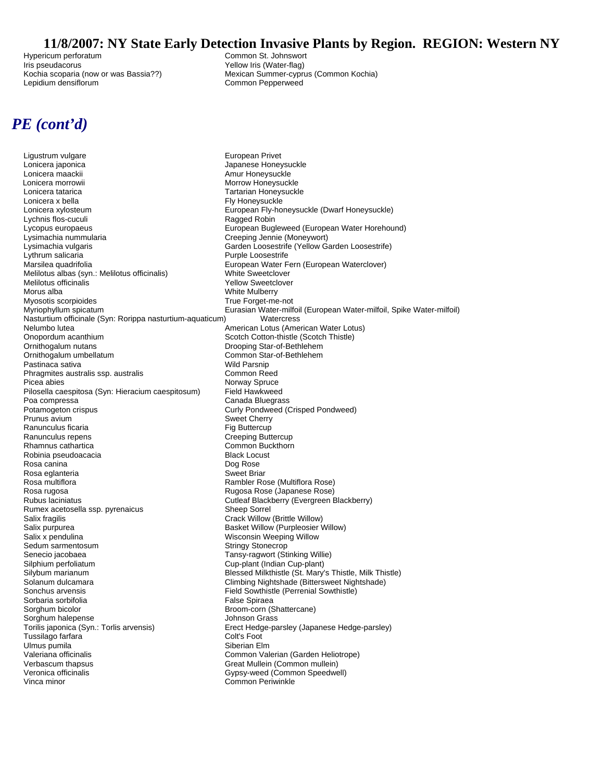# **11/8/2007: NY State Early Detection Invasive Plants by Region. REGION: Western NY**<br>Common St. Johnswort

Hypericum perforatum and the common St. Johnswort Common St. Johnswort Common St. Johnswort Common St. Johnswort<br>
Common St. Johnswort Common St. Johnswort Common St. Johnswort Common St. Johnswort Common St. Johnswort Com Lepidium densiflorum common Pepperweed

Yellow Iris (Water-flag) Kochia scoparia (now or was Bassia??) Mexican Summer-cyprus (Common Kochia)

# *PE (cont'd)*

Ligustrum vulgare<br>
Lonicera japonica<br>
Lonicera japonica Lonicera maackii aastaa kuulu kuulu kuulu Amur Honeysuckle<br>Amur Honeysuckle<br>Morrow Honeysuck Lonicera tatarica<br>
Lonicera x bella<br>
Lonicera x bella<br>
Try Honeysuckle Lonicera xylosteum European Fly-honeysuckle (Dwarf Honeysuckle) Lychnis flos-cuculi **Ragged Robin** Ragged Robin Lycopus europaeus<br>
Lycopus europaeus<br>
Lysimachia nummularia<br>
Creeping Jennie (Moneywort) Lysimachia vulgaris<br>
Lythrum salicaria<br>
Lythrum salicaria<br>
Lythrum salicaria Lythrum salicaria Purple Loosestrife Melilotus albas (syn.: Melilotus officinalis) Melilotus officinalis and the state of the Melilow Sweetclover (North Sweetclover and Melilow Sweetclover and M<br>Melilotus alba Myosotis scorpioides<br>Myriophyllum spicatum Nasturtium officinale (Syn: Rorippa nasturtium-aquaticum) Watercress Nelumbo lutea American Lotus (American Water Lotus) Onopordum acanthium acanthium Scotch Cotton-thistle (Scotch Thistle)<br>
Onithogalum nutans Scotch Thistle (Scotch Thistle) Ornithogalum umbellatum Common Star-of-Bethlehemen Common Star-<br>Pastinaca sativa Common Common Star-Pastinaca sativa<br>
Phragmites australis ssp. australis<br>
Phragmites australis ssp. australis<br>
Wild Parson Common Reed Phragmites australis ssp. australis Picea abies<br>Pilosella caespitosa (Svn: Hieracium caespitosum) Field Hawkweed Pilosella caespitosa (Syn: Hieracium caespitosum)<br>Poa compressa Potamogeton crispus Curly Pondweed (Crisped Pondweed) Prunus avium<br>
Ranunculus ficaria<br>
Ranunculus ficaria Provide ficaria and the control of the control of the Fig Buttercup<br>Fig Buttercup Figures and the control of the Creeping Buttercup Ranunculus repens<br>Rhamnus cathartica Robinia pseudoacacia entre a control de Black Locust Rosa canina **New York Contract Contract Contract Contract Contract Contract Contract Contract Contract Contract Contract Contract Contract Contract Contract Contract Contract Contract Contract Contract Contract Contract Co** Rosa eglanteria i internacionalismo est est un superficitat Sweet Briar<br>Rosa multiflora Rosa rugosa Rugosa Rose (Japanese Rose) Rumex acetosella ssp. pyrenaicus Sheep Sorrel Salix fragilis Crack Willow (Brittle Willow) Salix purpurea Basket Willow (Purpleosier Willow)<br>Salix x pendulina Basket Willow (Purpleosier Willow) Sedum sarmentosum Sedum Stringy Stonecrop Senecio jacobaea Tansy-ragwort (Stinking Willie) Silphium perfoliatum and the control of the Cup-plant (Indian Cup-plant)<br>Silybum marianum control of the Cup-plant (St. Mary's Solanum dulcamara **Climbing Nightshade (Bittersweet Nightshade**)<br>Sonchus arvensis Climbing Treed Southistle (Perrenial Sowthistle) Sorbaria sorbifolia e contra contra un establecer e al False Spiraea Sorghum bicolor **Broom-corn (Shattercane)** Broom-corn (Shattercane) Sorghum halepense **Sorghum halepense** Johnson Grass Torilis japonica (Syn.: Torlis arvensis) Erect Hedge-parsley (Japanese Hedge-parsley) Tussilago farfara **Coltago farta contra coltago de Coltago de Colt**<br>Ulmus pumila Ulmus pumila<br>Valeriana officinalis Verbascum thapsus<br>
Veronica officinalis<br>
Veronica officinalis<br>
Veronica officinalis Veronica officinalis Gypsy-weed (Common Speedwell)

Japanese Honeysuckle Morrow Honeysuckle Fly Honeysuckle Creeping Jennie (Moneywort) European Water Fern (European Waterclover)<br>White Sweetclover White Mulberry<br>True Forget-me-not Eurasian Water-milfoil (European Water-milfoil, Spike Water-milfoil) Drooping Star-of-Bethlehem<br>Common Star-of-Bethlehem Canada Bluegrass Common Buckthorn Rambler Rose (Multiflora Rose) Cutleaf Blackberry (Evergreen Blackberry) Wisconsin Weeping Willow Blessed Milkthistle (St. Mary's Thistle, Milk Thistle) Field Sowthistle (Perrenial Sowthistle) Common Valerian (Garden Heliotrope) Common Periwinkle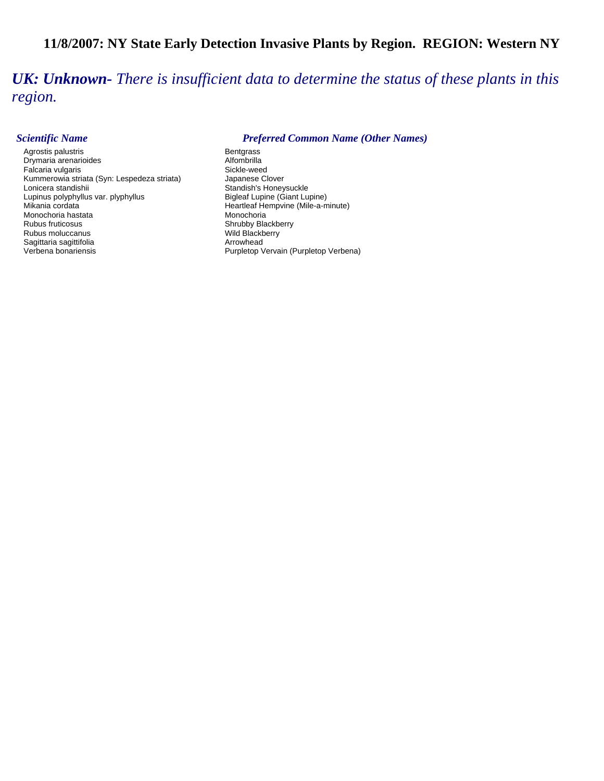# **11/8/2007: NY State Early Detection Invasive Plants by Region. REGION: Western NY**

*UK: Unknown- There is insufficient data to determine the status of these plants in this region.* 

Agrostis palustris **Bentgrass** Bentgrass Drymaria arenarioides and a compared and alfombrilla<br>
Falcaria vulgaris and a compared and a compared and Sickle-weed Falcaria vulgaris<br>
Kummerowia striata (Syn: Lespedeza striata) Sickle-weed<br>
Japanese Clover Kummerowia striata (Syn: Lespedeza striata)<br>Lonicera standishii Lupinus polyphyllus var. plyphyllus<br>Mikania cordata Monochoria hastata<br>Rubus fruticosus Rubus moluccanus **Mild Blackberry** Wild Blackberry Sagittaria sagittifolia Arrowhead Verbena bonariensis **Purpletop Vervain (Purpletop Verbena)** Purpletop Vervain (Purpletop Verbena)

### *Scientific Name Preferred Common Name (Other Names)*

Standish's Honeysuckle<br>Bigleaf Lupine (Giant Lupine) Heartleaf Hempvine (Mile-a-minute)<br>Monochoria Shrubby Blackberry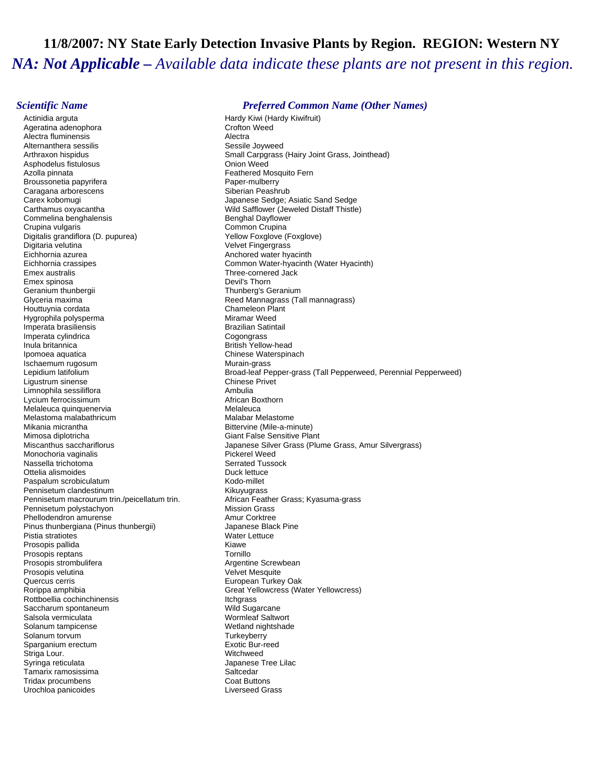# **11/8/2007: NY State Early Detection Invasive Plants by Region. REGION: Western NY**  *NA: Not Applicable – Available data indicate these plants are not present in this region.*

Actinidia arguta **Hardy Kiwi** (Hardy Kiwi (Hardy Kiwifruit) Ageratina adenophora **Crofton Weed Alectra**<br>Alectra fluminensis Alectra fluminensis Alectra Alternanthera sessilis Asphodelus fistulosus<br>Azolla pinnata Broussonetia papyrifera etteration and the control of the Paper-mulberry<br>Paper-mulberry Caracana Papers of the Capacity Siberian Peashrub Caragana arborescens<br>Carex kobomugi Carex kobomugi Japanese Sedge; Asiatic Sand Sedge<br>Carthamus oxyacantha Japanese Sedge; Mild Safflower (Jeweled Distaff Thistle Commelina benghalensis and the commelina benghal Dayflower<br>Crupina vulgaris Benghal Dayflower Common Crupina Crupina vulgaris (Crupina vulgaris Common Crupina Crupina Crupina Crupina Crupina Crupina Crupina Crupina Crupina Crupina Crupina Crupina Crupina Crupina Crupina Crupina Crupina Crupina Crupina Crupina Crupina Crupina Crup Digitalis grandiflora (D. pupurea)<br>Digitaria velutina Eichhornia azurea Anchored water hyacinth Eichhornia crassipes **Common Water-hyacinth (Water Hyacinth)**<br>Emex australis **Common Common Common Common Common Common** Emex spinosa Geranium thunbergii **Thunberg's Geranium**<br>Glyceria maxima Club Club Club Club Reed Mannagrass (Ta Houttuynia cordata Hygrophila polysperma Miramar Weed Imperata brasiliensis and a state of the Brazilian Satintail<br>
Imperata cylindrica<br>
Brazilian Satintail Imperata cylindrica Inula britannica **British Yellow-head** Ipomoea aquatica Chinese Waterspinach **Ischaemum rugosum and a material control of the Murain-grass**<br> **Ischaemum Iatifolium** Murain-grass<br>
Broad-leaf Pe Ligustrum sinense Chinese Privet<br>
Limnophila sessiliflora Chinese Privet<br>
Chinese Ambulia Limnophila sessiliflora<br>I vcium ferrocissimum Lycium ferrocissimum<br>
Melaleuca quinquenervia<br>
Melaleuca quinquenervia Melaleuca quinquenervia Melastoma malabathricum **Malabar Melastome** Malabar Melastome Mikania micrantha **Bittervine (Mile-a-minute)** Mimosa diplotricha Giant False Sensitive Plant<br>Miscanthus sacchariflorus Communication Channel Miscanthus Sacchariflorus Monochoria vaginalis Nassella trichotoma<br>Ottelia alismoides Serrated Tussock<br>Serrated Tussock Duck lettuce Ottelia alismoides<br>
Paspalum scrobiculatum<br>
Paspalum scrobiculatum Paspalum scrobiculatum et al. (a) Rodo-millet Kodo-millet<br>
Pennisetum clandestinum et al. (a) Kikuvuqrass Pennisetum clandestinum Pennisetum macrourum trin./peicellatum trin. <br>Pennisetum polystachyon **Music Brand Music Mussion Grass**<br>Mission Grass Pennisetum polystachyon Phellodendron amurense<br>Pinus thunbergiana (Pinus thunbergii) and a Music Shack Pine Pinus thunbergiana (Pinus thunbergii) Pistia stratiotes and the Community of the Water Lettuce Water Lettuce Prosonic part of the Water Lettuce Prosonic District Prosonic Unit of the Prosonic Unit of the Water Lettuce Prosonic Unit of the Unit of the Water Let Prosopis pallida Prosopis reptans<br>
Prosopis strombulifera<br>
Prosopis strombulifera<br>
The Management of the Argentine Screwbean Prosopis strombulifera Prosopis velutina and the control of the Velvet Mesquite<br>
Velvet Mesquite<br>
Quercus cerris Quercus cerris European Turkey Oak Rottboellia cochinchinensis Itchgrass Saccharum spontaneum and the second wild Sugarcane<br>Salsola vermiculata Number of Salsola Saltwort Salsola vermiculata Solanum tampicense Wetland nightshade<br>
Solanum torvum Wetland nightshade<br>
Turkeyberry Solanum torvum and the state of the Solanum of Turkeyberry<br>Sparganium erectum and the Solanum Turkeyberry Exotic Bur-reed Sparganium erectum Striga Lour. Witchweed Tamarix ramosissima<br>Tridax procumbens<br>Tridax procumbens Tridax procumbens Urochloa panicoides **Liverseed Grass** 

### *Scientific Name Preferred Common Name (Other Names)*

Arthraxon hispidus **Small Carpgrass (Hairy Joint Grass, Jointhead)**<br>Asphodelus fistulosus **State Communist Communist Communist Communist Communist Communist Communist Communist Co** Feathered Mosquito Fern Wild Safflower (Jeweled Distaff Thistle) Velvet Fingergrass Three-cornered Jack<br>Devil's Thorn Reed Mannagrass (Tall mannagrass)<br>Chameleon Plant Broad-leaf Pepper-grass (Tall Pepperweed, Perennial Pepperweed) Japanese Silver Grass (Plume Grass, Amur Silvergrass)<br>Pickerel Weed Great Yellowcress (Water Yellowcress) Japanese Tree Lilac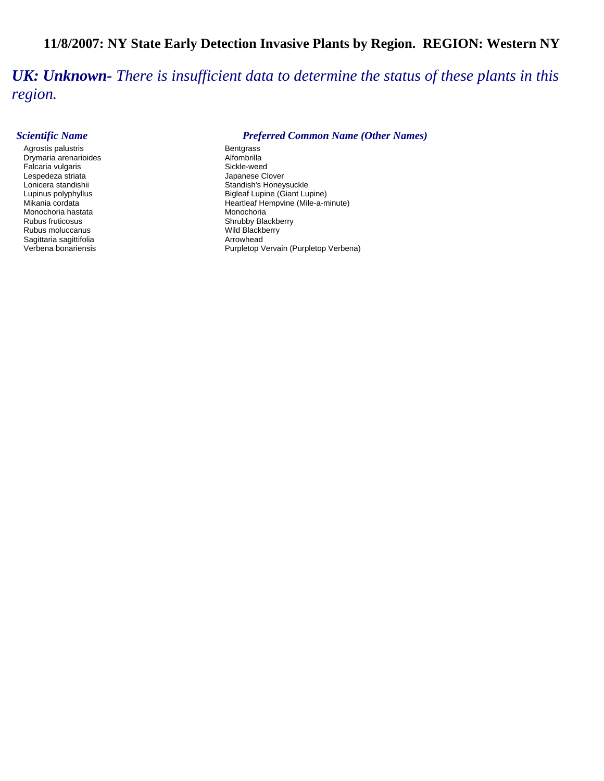# **11/8/2007: NY State Early Detection Invasive Plants by Region. REGION: Western NY**

*UK: Unknown- There is insufficient data to determine the status of these plants in this region.* 

Agrostis palustris and the second of the second part of the Bentgrass Bentgrass Bentgrass and District and Dis<br>Bentgraphy and District and District and District and District and District and District and District and Dist Drymaria arenarioides and a compared a component alternative Alfombrilla<br>Alfombrilla Falcaria vulgaris Falcaria vulgaris Lespedeza striata<br>
Lonicera standishii dhamaa Japanese Clover<br>
Standish's Honey Monochoria hastata<br>Rubus fruticosus Rubus moluccanus<br>
Sagittaria sagittifolia<br>
Arrowhead Sagittaria sagittifolia<br>Verbena bonariensis

### *Scientific Name Preferred Common Name (Other Names)*

Lonicera standishii Standishii Standish's Honeysuckle<br>
Lupinus polyphyllus Standish's Honeysuckle<br>
Bigleaf Lupine (Giant Lu Lupinus polyphyllus and the state of the Bigleaf Lupine (Giant Lupine)<br>Mikania cordata and the state of the Heartleaf Hempvine (Mile-a-m Heartleaf Hempvine (Mile-a-minute)<br>Monochoria Shrubby Blackberry<br>Wild Blackberry Purpletop Vervain (Purpletop Verbena)